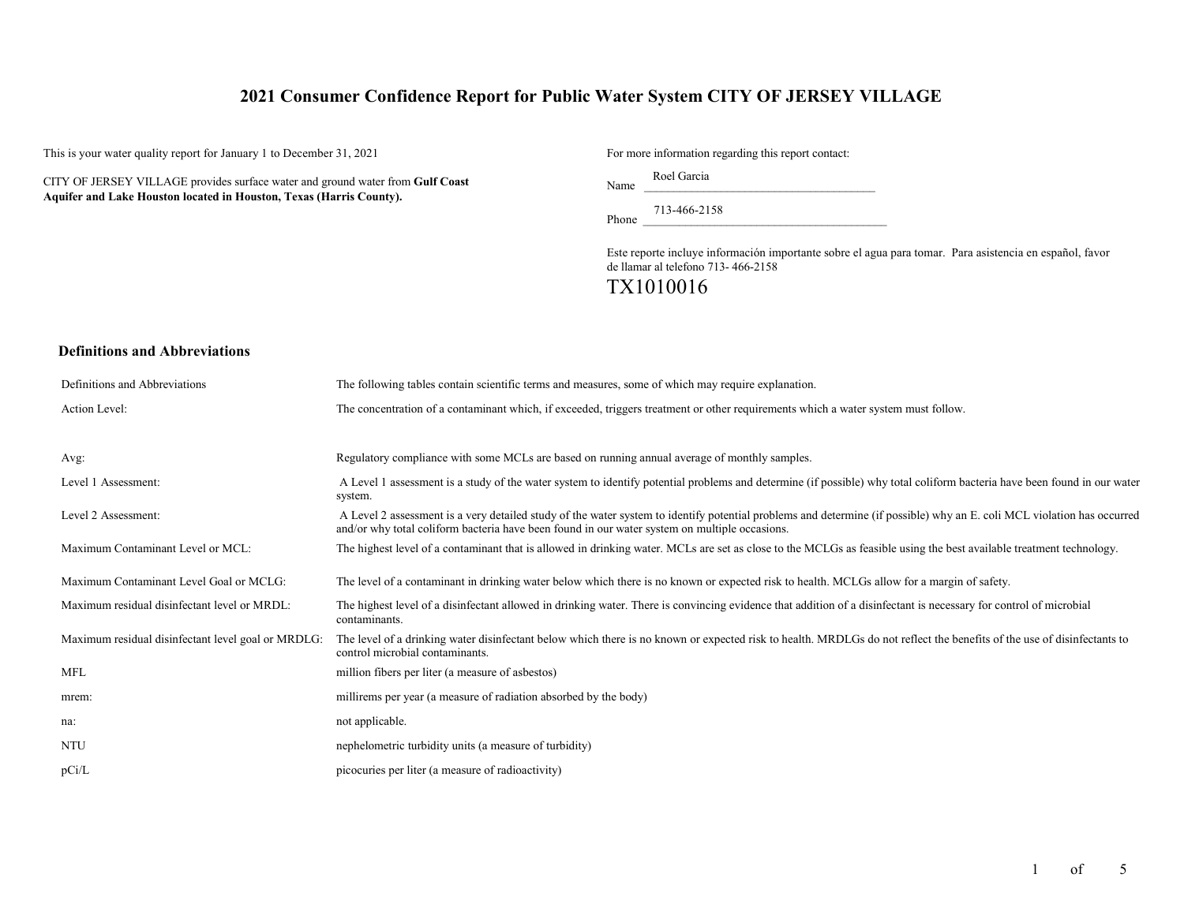# **2021 Consumer Confidence Report for Public Water System CITY OF JERSEY VILLAGE**

This is your water quality report for January 1 to December 31, 2021

CITY OF JERSEY VILLAGE provides surface water and ground water from **Gulf Coast Aquifer and Lake Houston located in Houston, Texas (Harris County).**

For more information regarding this report contact:

Name Roel Garcia

Phone 713-466-2158

Este reporte incluye información importante sobre el agua para tomar. Para asistencia en español, favor de llamar al telefono 713- 466-2158

# TX1010016

#### **Definitions and Abbreviations**

| Definitions and Abbreviations                      | The following tables contain scientific terms and measures, some of which may require explanation.                                                                                                                                                                      |
|----------------------------------------------------|-------------------------------------------------------------------------------------------------------------------------------------------------------------------------------------------------------------------------------------------------------------------------|
| Action Level:                                      | The concentration of a contaminant which, if exceeded, triggers treatment or other requirements which a water system must follow.                                                                                                                                       |
|                                                    |                                                                                                                                                                                                                                                                         |
| Avg:                                               | Regulatory compliance with some MCLs are based on running annual average of monthly samples.                                                                                                                                                                            |
| Level 1 Assessment:                                | A Level 1 assessment is a study of the water system to identify potential problems and determine (if possible) why total coliform bacteria have been found in our water<br>system.                                                                                      |
| Level 2 Assessment:                                | A Level 2 assessment is a very detailed study of the water system to identify potential problems and determine (if possible) why an E. coli MCL violation has occurred<br>and/or why total coliform bacteria have been found in our water system on multiple occasions. |
| Maximum Contaminant Level or MCL:                  | The highest level of a contaminant that is allowed in drinking water. MCLs are set as close to the MCLGs as feasible using the best available treatment technology.                                                                                                     |
| Maximum Contaminant Level Goal or MCLG:            | The level of a contaminant in drinking water below which there is no known or expected risk to health. MCLGs allow for a margin of safety.                                                                                                                              |
| Maximum residual disinfectant level or MRDL:       | The highest level of a disinfectant allowed in drinking water. There is convincing evidence that addition of a disinfectant is necessary for control of microbial<br>contaminants.                                                                                      |
| Maximum residual disinfectant level goal or MRDLG: | The level of a drinking water disinfectant below which there is no known or expected risk to health. MRDLGs do not reflect the benefits of the use of disinfectants to<br>control microbial contaminants.                                                               |
| <b>MFL</b>                                         | million fibers per liter (a measure of asbestos)                                                                                                                                                                                                                        |
| mrem:                                              | millirems per year (a measure of radiation absorbed by the body)                                                                                                                                                                                                        |
| na:                                                | not applicable.                                                                                                                                                                                                                                                         |
| NTU                                                | nephelometric turbidity units (a measure of turbidity)                                                                                                                                                                                                                  |
| pCi/L                                              | picocuries per liter (a measure of radioactivity)                                                                                                                                                                                                                       |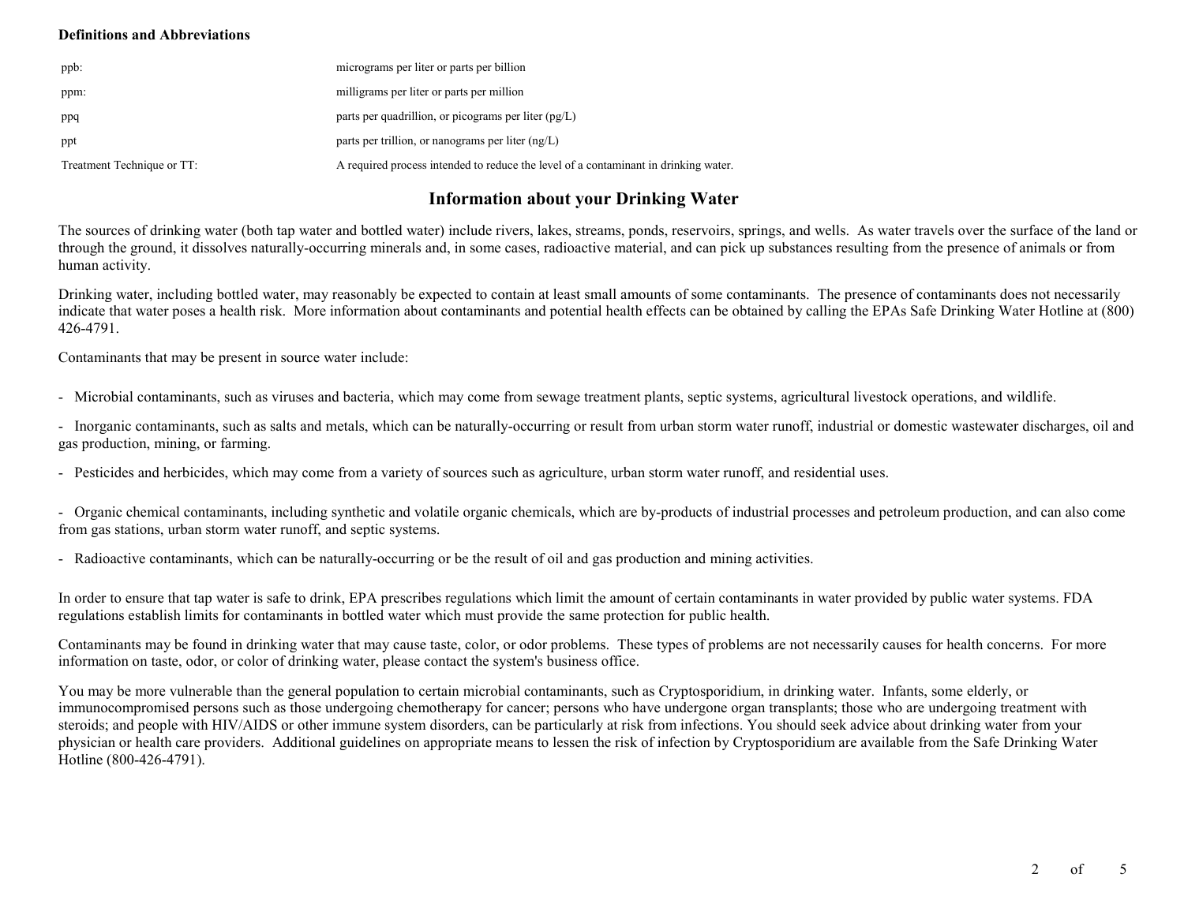## **Definitions and Abbreviations**

| ppb:                       | micrograms per liter or parts per billion                                           |
|----------------------------|-------------------------------------------------------------------------------------|
| ppm:                       | milligrams per liter or parts per million                                           |
| ppq                        | parts per quadrillion, or picograms per liter $(pg/L)$                              |
| ppt                        | parts per trillion, or nanograms per liter $(ng/L)$                                 |
| Treatment Technique or TT: | A required process intended to reduce the level of a contaminant in drinking water. |

# **Information about your Drinking Water**

The sources of drinking water (both tap water and bottled water) include rivers, lakes, streams, ponds, reservoirs, springs, and wells. As water travels over the surface of the land or through the ground, it dissolves naturally-occurring minerals and, in some cases, radioactive material, and can pick up substances resulting from the presence of animals or from human activity.

Drinking water, including bottled water, may reasonably be expected to contain at least small amounts of some contaminants. The presence of contaminants does not necessarily indicate that water poses a health risk. More information about contaminants and potential health effects can be obtained by calling the EPAs Safe Drinking Water Hotline at (800) 426-4791.

Contaminants that may be present in source water include:

- Microbial contaminants, such as viruses and bacteria, which may come from sewage treatment plants, septic systems, agricultural livestock operations, and wildlife.

- Inorganic contaminants, such as salts and metals, which can be naturally-occurring or result from urban storm water runoff, industrial or domestic wastewater discharges, oil and gas production, mining, or farming.

- Pesticides and herbicides, which may come from a variety of sources such as agriculture, urban storm water runoff, and residential uses.

- Organic chemical contaminants, including synthetic and volatile organic chemicals, which are by-products of industrial processes and petroleum production, and can also come from gas stations, urban storm water runoff, and septic systems.

- Radioactive contaminants, which can be naturally-occurring or be the result of oil and gas production and mining activities.

In order to ensure that tap water is safe to drink, EPA prescribes regulations which limit the amount of certain contaminants in water provided by public water systems. FDA regulations establish limits for contaminants in bottled water which must provide the same protection for public health.

Contaminants may be found in drinking water that may cause taste, color, or odor problems. These types of problems are not necessarily causes for health concerns. For more information on taste, odor, or color of drinking water, please contact the system's business office.

You may be more vulnerable than the general population to certain microbial contaminants, such as Cryptosporidium, in drinking water. Infants, some elderly, or immunocompromised persons such as those undergoing chemotherapy for cancer; persons who have undergone organ transplants; those who are undergoing treatment with steroids; and people with HIV/AIDS or other immune system disorders, can be particularly at risk from infections. You should seek advice about drinking water from your physician or health care providers. Additional guidelines on appropriate means to lessen the risk of infection by Cryptosporidium are available from the Safe Drinking Water Hotline (800-426-4791).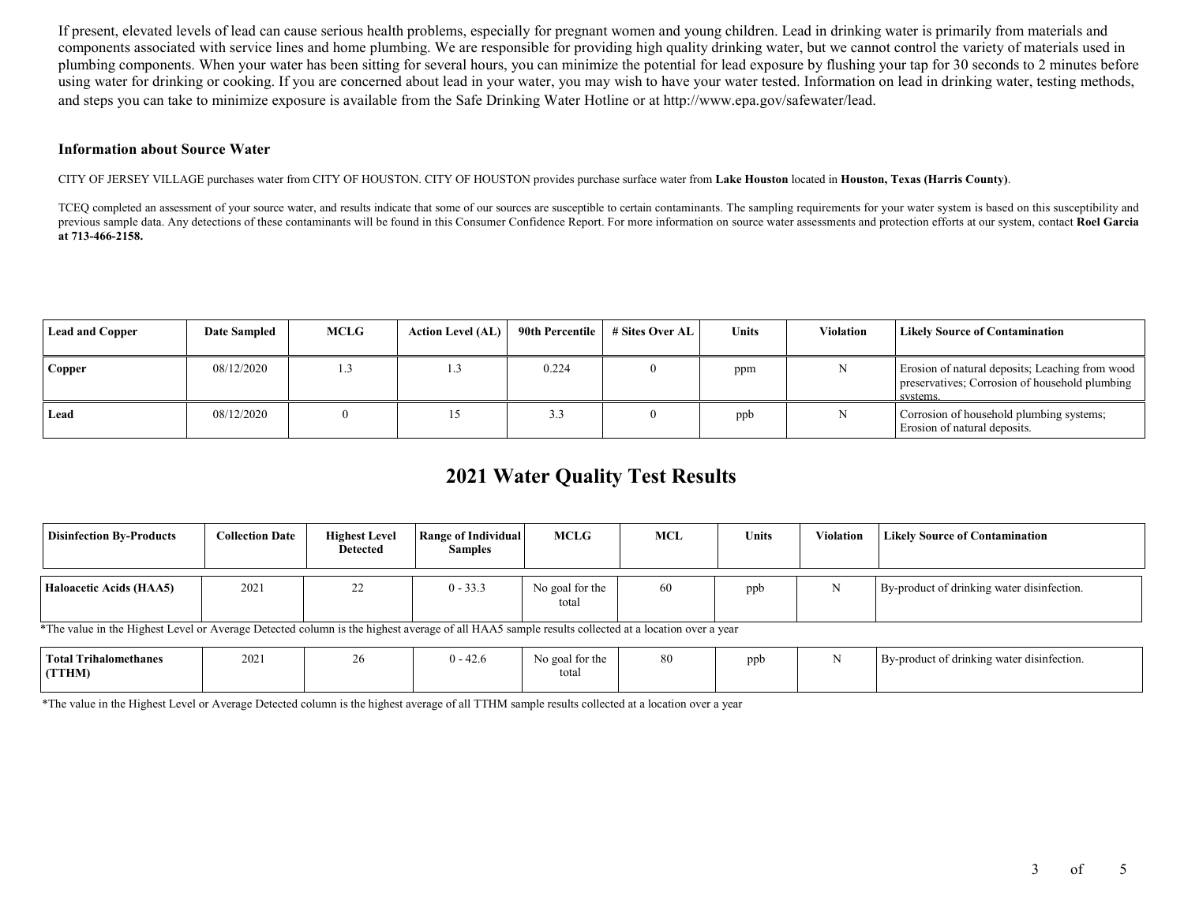If present, elevated levels of lead can cause serious health problems, especially for pregnant women and young children. Lead in drinking water is primarily from materials and components associated with service lines and home plumbing. We are responsible for providing high quality drinking water, but we cannot control the variety of materials used in plumbing components. When your water has been sitting for several hours, you can minimize the potential for lead exposure by flushing your tap for 30 seconds to 2 minutes before using water for drinking or cooking. If you are concerned about lead in your water, you may wish to have your water tested. Information on lead in drinking water, testing methods, and steps you can take to minimize exposure is available from the Safe Drinking Water Hotline or at http://www.epa.gov/safewater/lead.

#### **Information about Source Water**

CITY OF JERSEY VILLAGE purchases water from CITY OF HOUSTON. CITY OF HOUSTON provides purchase surface water from **Lake Houston** located in **Houston, Texas (Harris County)**.

TCEQ completed an assessment of your source water, and results indicate that some of our sources are susceptible to certain contaminants. The sampling requirements for your water system is based on this susceptibility and previous sample data. Any detections of these contaminants will be found in this Consumer Confidence Report. For more information on source water assessments and protection efforts at our system, contact **Roel Garcia at 713-466-2158.**

| <b>Lead and Copper</b> | <b>Date Sampled</b> | <b>MCLG</b> | <b>Action Level (AL)</b> | 90th Percentile | # Sites Over AL | Units | Violation | <b>Likely Source of Contamination</b>                                                                         |
|------------------------|---------------------|-------------|--------------------------|-----------------|-----------------|-------|-----------|---------------------------------------------------------------------------------------------------------------|
| Copper                 | 08/12/2020          | 1.3         |                          | 0.224           |                 | ppm   |           | Erosion of natural deposits; Leaching from wood<br>preservatives; Corrosion of household plumbing<br>systems. |
| Lead                   | 08/12/2020          |             |                          |                 |                 | ppb   |           | Corrosion of household plumbing systems;<br>Erosion of natural deposits.                                      |

# **2021 Water Quality Test Results**

| <b>Disinfection By-Products</b>                                                                                                                  | <b>Collection Date</b> | <b>Highest Level</b><br>Detected | <b>Range of Individual</b><br><b>Samples</b> | MCLG                     | MCL | <b>Units</b> | <b>Violation</b> | <b>Likely Source of Contamination</b>      |
|--------------------------------------------------------------------------------------------------------------------------------------------------|------------------------|----------------------------------|----------------------------------------------|--------------------------|-----|--------------|------------------|--------------------------------------------|
| Haloacetic Acids (HAA5)                                                                                                                          | 2021                   | 22                               | $0 - 33.3$                                   | No goal for the<br>total | 60  | ppb          |                  | By-product of drinking water disinfection. |
| *The value in the Highest Level or Average Detected column is the highest average of all HAA5 sample results collected at a location over a year |                        |                                  |                                              |                          |     |              |                  |                                            |

| <b>Total Trihalomethanes</b> | 2021 | $\sim$<br>−∠. | No goal for the | 80 | npb | By-product of drinking water disinfection. |
|------------------------------|------|---------------|-----------------|----|-----|--------------------------------------------|
| (TTHM)                       |      |               | total           |    |     |                                            |
|                              |      |               |                 |    |     |                                            |

\*The value in the Highest Level or Average Detected column is the highest average of all TTHM sample results collected at a location over a year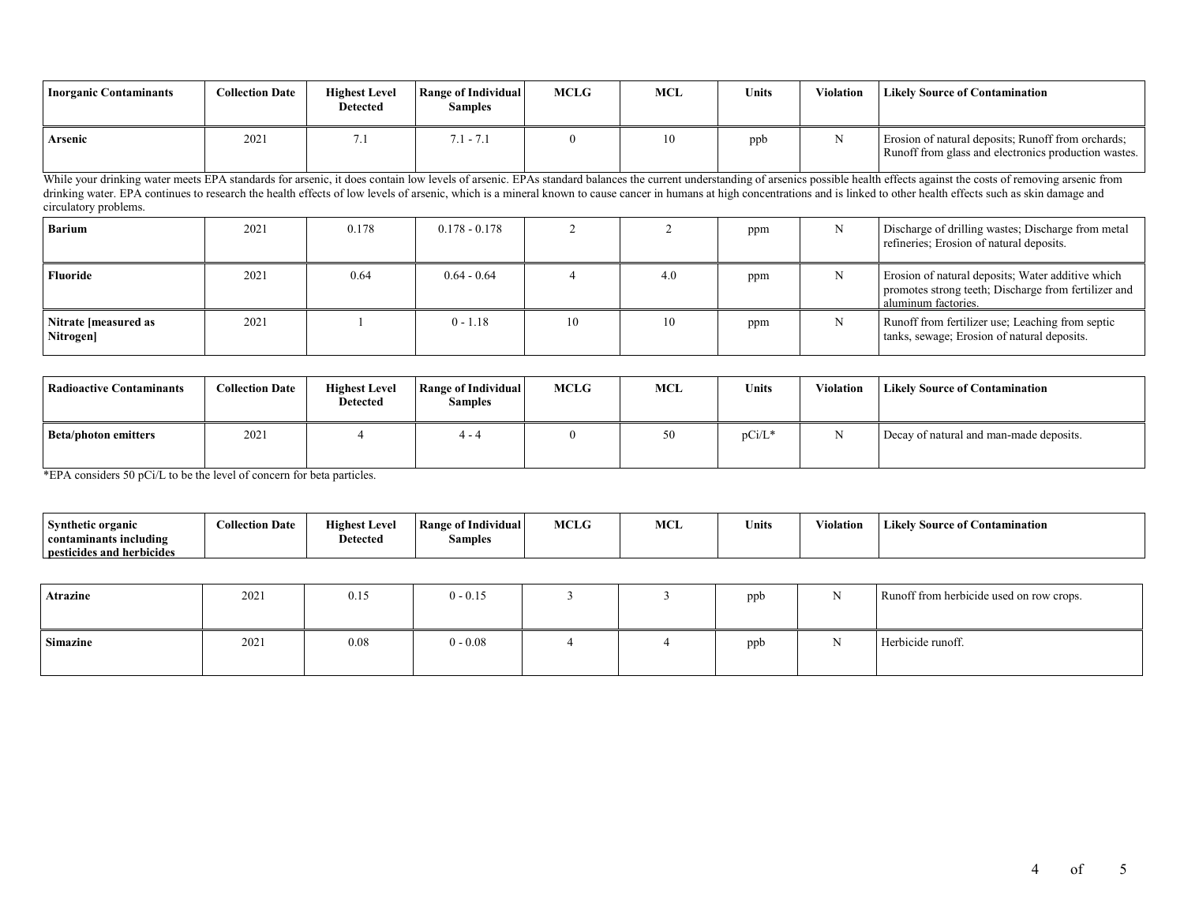| Inorganic Contaminants | <b>Collection Date</b> | <b>Highest Level</b><br>Detected | Range of Individual<br>Samples | <b>MCLG</b> | <b>MCL</b> | <b>Units</b> | Violation | <b>Likely Source of Contamination</b>                                                                      |
|------------------------|------------------------|----------------------------------|--------------------------------|-------------|------------|--------------|-----------|------------------------------------------------------------------------------------------------------------|
| Arsenic                | 2021                   | ، ،                              | $1 - 7.$                       |             | 10         | ppb          |           | Erosion of natural deposits; Runoff from orchards;<br>Runoff from glass and electronics production wastes. |

While your drinking water meets EPA standards for arsenic, it does contain low levels of arsenic. EPAs standard balances the current understanding of arsenics possible health effects against the costs of removing arsenic f drinking water. EPA continues to research the health effects of low levels of arsenic, which is a mineral known to cause cancer in humans at high concentrations and is linked to other health effects such as skin damage and circulatory problems.

| <b>Barium</b>                     | 2021 | 0.178 | $0.178 - 0.178$ |    |     | ppm | N | Discharge of drilling wastes; Discharge from metal<br>refineries; Erosion of natural deposits.                                   |
|-----------------------------------|------|-------|-----------------|----|-----|-----|---|----------------------------------------------------------------------------------------------------------------------------------|
| Fluoride                          | 2021 | 0.64  | $0.64 - 0.64$   |    | 4.0 | ppm | N | Erosion of natural deposits; Water additive which<br>promotes strong teeth; Discharge from fertilizer and<br>aluminum factories. |
| Nitrate [measured as<br>Nitrogen] | 2021 |       | $0 - 1.18$      | 10 | 10  | ppm | N | Runoff from fertilizer use; Leaching from septic<br>tanks, sewage; Erosion of natural deposits.                                  |

| Radioactive Contaminants    | <b>Collection Date</b> | <b>Highest Level</b><br>Detected | Range of Individual<br><b>Samples</b> | <b>MCLG</b> | MCL | <b>Units</b> | <b>Violation</b> | <b>Likely Source of Contamination</b>   |
|-----------------------------|------------------------|----------------------------------|---------------------------------------|-------------|-----|--------------|------------------|-----------------------------------------|
| <b>Beta/photon emitters</b> | 2021                   |                                  | $4 - 4$                               | $^{\circ}$  | 50  | $pCi/L^*$    |                  | Decay of natural and man-made deposits. |

\*EPA considers 50 pCi/L to be the level of concern for beta particles.

| Synthetic organic         | <b>Collection Date</b> | <b>Highest Level</b> | <b>Range of Individual</b> | <b>MCLG</b> | MCL | $    -$<br>∍nits | .<br>Violation | <b>Likely Source of Contamination</b> |
|---------------------------|------------------------|----------------------|----------------------------|-------------|-----|------------------|----------------|---------------------------------------|
| contaminants including    |                        | <b>Detected</b>      | __<br>Samples              |             |     |                  |                |                                       |
| pesticides and herbicides |                        |                      |                            |             |     |                  |                |                                       |

| Atrazine        | 2021 | 0.15 | $0 - 0.15$ |  | ppb | <b>NT</b>    | Runoff from herbicide used on row crops. |
|-----------------|------|------|------------|--|-----|--------------|------------------------------------------|
| <b>Simazine</b> | 2021 | 0.08 | $0 - 0.08$ |  | ppb | $\mathbf{v}$ | Herbicide runoff.                        |